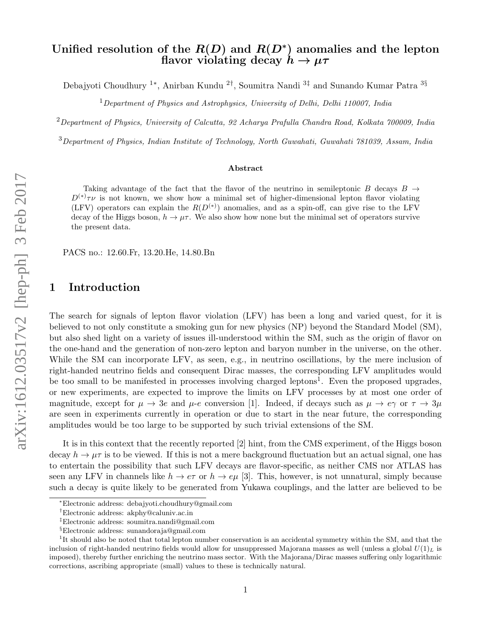# Unified resolution of the  $R(D)$  and  $R(D^*)$  anomalies and the lepton flavor violating decay  $h \to \mu \tau$

Debajyoti Choudhury <sup>1</sup><sup>∗</sup> , Anirban Kundu <sup>2</sup>† , Soumitra Nandi <sup>3</sup>‡ and Sunando Kumar Patra <sup>3</sup>§

 $1$ Department of Physics and Astrophysics, University of Delhi, Delhi 110007, India

 $2$ Department of Physics, University of Calcutta, 92 Acharya Prafulla Chandra Road, Kolkata 700009, India

<sup>3</sup>Department of Physics, Indian Institute of Technology, North Guwahati, Guwahati 781039, Assam, India

#### Abstract

Taking advantage of the fact that the flavor of the neutrino in semileptonic B decays  $B \rightarrow$  $D^{(*)}\tau\nu$  is not known, we show how a minimal set of higher-dimensional lepton flavor violating (LFV) operators can explain the  $R(D^{(*)})$  anomalies, and as a spin-off, can give rise to the LFV decay of the Higgs boson,  $h \to \mu\tau$ . We also show how none but the minimal set of operators survive the present data.

PACS no.: 12.60.Fr, 13.20.He, 14.80.Bn

## 1 Introduction

The search for signals of lepton flavor violation (LFV) has been a long and varied quest, for it is believed to not only constitute a smoking gun for new physics (NP) beyond the Standard Model (SM), but also shed light on a variety of issues ill-understood within the SM, such as the origin of flavor on the one-hand and the generation of non-zero lepton and baryon number in the universe, on the other. While the SM can incorporate LFV, as seen, e.g., in neutrino oscillations, by the mere inclusion of right-handed neutrino fields and consequent Dirac masses, the corresponding LFV amplitudes would be too small to be manifested in processes involving charged leptons<sup>1</sup>. Even the proposed upgrades, or new experiments, are expected to improve the limits on LFV processes by at most one order of magnitude, except for  $\mu \to 3e$  and  $\mu$ -e conversion [1]. Indeed, if decays such as  $\mu \to e\gamma$  or  $\tau \to 3\mu$ are seen in experiments currently in operation or due to start in the near future, the corresponding amplitudes would be too large to be supported by such trivial extensions of the SM.

It is in this context that the recently reported [2] hint, from the CMS experiment, of the Higgs boson decay  $h \to \mu\tau$  is to be viewed. If this is not a mere background fluctuation but an actual signal, one has to entertain the possibility that such LFV decays are flavor-specific, as neither CMS nor ATLAS has seen any LFV in channels like  $h \to e\tau$  or  $h \to e\mu$  [3]. This, however, is not unnatural, simply because such a decay is quite likely to be generated from Yukawa couplings, and the latter are believed to be

<sup>∗</sup>Electronic address: debajyoti.choudhury@gmail.com

<sup>†</sup>Electronic address: akphy@caluniv.ac.in

<sup>‡</sup>Electronic address: soumitra.nandi@gmail.com

<sup>§</sup>Electronic address: sunandoraja@gmail.com

<sup>&</sup>lt;sup>1</sup>It should also be noted that total lepton number conservation is an accidental symmetry within the SM, and that the inclusion of right-handed neutrino fields would allow for unsuppressed Majorana masses as well (unless a global  $U(1)_L$  is imposed), thereby further enriching the neutrino mass sector. With the Majorana/Dirac masses suffering only logarithmic corrections, ascribing appropriate (small) values to these is technically natural.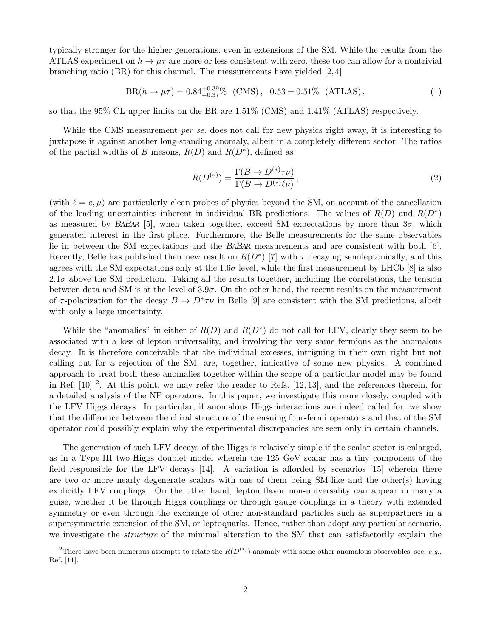typically stronger for the higher generations, even in extensions of the SM. While the results from the ATLAS experiment on  $h \to \mu\tau$  are more or less consistent with zero, these too can allow for a nontrivial branching ratio (BR) for this channel. The measurements have yielded  $[2,4]$ 

$$
BR(h \to \mu \tau) = 0.84^{+0.39}_{-0.37}\% \, (CMS), \, 0.53 \pm 0.51\% \, (ATLAS), \tag{1}
$$

so that the 95% CL upper limits on the BR are 1.51% (CMS) and 1.41% (ATLAS) respectively.

While the CMS measurement *per se*. does not call for new physics right away, it is interesting to juxtapose it against another long-standing anomaly, albeit in a completely different sector. The ratios of the partial widths of B mesons,  $R(D)$  and  $R(D^*)$ , defined as

$$
R(D^{(*)}) = \frac{\Gamma(B \to D^{(*)}\tau\nu)}{\Gamma(B \to D^{(*)}\ell\nu)},
$$
\n(2)

(with  $\ell = e, \mu$ ) are particularly clean probes of physics beyond the SM, on account of the cancellation of the leading uncertainties inherent in individual BR predictions. The values of  $R(D)$  and  $R(D^*)$ as measured by BABAR [5], when taken together, exceed SM expectations by more than  $3\sigma$ , which generated interest in the first place. Furthermore, the Belle measurements for the same observables lie in between the SM expectations and the BABAR measurements and are consistent with both [6]. Recently, Belle has published their new result on  $R(D^*)$  [7] with  $\tau$  decaying semileptonically, and this agrees with the SM expectations only at the 1.6 $\sigma$  level, while the first measurement by LHCb [8] is also  $2.1\sigma$  above the SM prediction. Taking all the results together, including the correlations, the tension between data and SM is at the level of  $3.9\sigma$ . On the other hand, the recent results on the measurement of  $\tau$ -polarization for the decay  $B \to D^* \tau \nu$  in Belle [9] are consistent with the SM predictions, albeit with only a large uncertainty.

While the "anomalies" in either of  $R(D)$  and  $R(D^*)$  do not call for LFV, clearly they seem to be associated with a loss of lepton universality, and involving the very same fermions as the anomalous decay. It is therefore conceivable that the individual excesses, intriguing in their own right but not calling out for a rejection of the SM, are, together, indicative of some new physics. A combined approach to treat both these anomalies together within the scope of a particular model may be found in Ref.  $[10]$ <sup>2</sup>. At this point, we may refer the reader to Refs.  $[12, 13]$ , and the references therein, for a detailed analysis of the NP operators. In this paper, we investigate this more closely, coupled with the LFV Higgs decays. In particular, if anomalous Higgs interactions are indeed called for, we show that the difference between the chiral structure of the ensuing four-fermi operators and that of the SM operator could possibly explain why the experimental discrepancies are seen only in certain channels.

The generation of such LFV decays of the Higgs is relatively simple if the scalar sector is enlarged, as in a Type-III two-Higgs doublet model wherein the 125 GeV scalar has a tiny component of the field responsible for the LFV decays [14]. A variation is afforded by scenarios [15] wherein there are two or more nearly degenerate scalars with one of them being SM-like and the other(s) having explicitly LFV couplings. On the other hand, lepton flavor non-universality can appear in many a guise, whether it be through Higgs couplings or through gauge couplings in a theory with extended symmetry or even through the exchange of other non-standard particles such as superpartners in a supersymmetric extension of the SM, or leptoquarks. Hence, rather than adopt any particular scenario, we investigate the *structure* of the minimal alteration to the SM that can satisfactorily explain the

<sup>&</sup>lt;sup>2</sup>There have been numerous attempts to relate the  $R(D^{(*)})$  anomaly with some other anomalous observables, see, e.g., Ref. [11].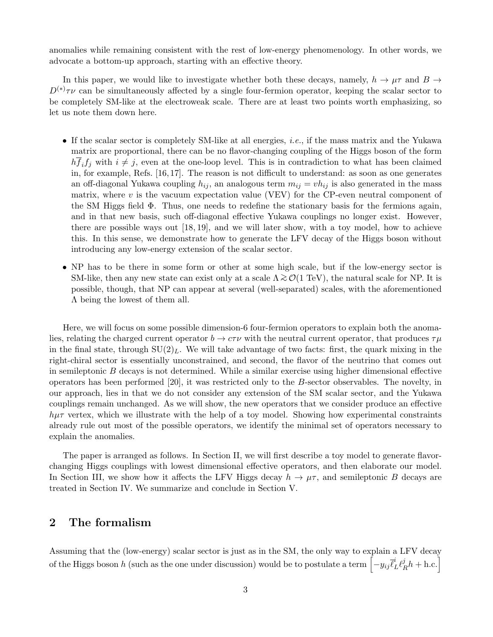anomalies while remaining consistent with the rest of low-energy phenomenology. In other words, we advocate a bottom-up approach, starting with an effective theory.

In this paper, we would like to investigate whether both these decays, namely,  $h \to \mu\tau$  and  $B \to$  $D^{(*)}\tau\nu$  can be simultaneously affected by a single four-fermion operator, keeping the scalar sector to be completely SM-like at the electroweak scale. There are at least two points worth emphasizing, so let us note them down here.

- If the scalar sector is completely SM-like at all energies, *i.e.*, if the mass matrix and the Yukawa matrix are proportional, there can be no flavor-changing coupling of the Higgs boson of the form  $h \overline{f_i} f_j$  with  $i \neq j$ , even at the one-loop level. This is in contradiction to what has been claimed in, for example, Refs. [16, 17]. The reason is not difficult to understand: as soon as one generates an off-diagonal Yukawa coupling  $h_{ij}$ , an analogous term  $m_{ij} = v h_{ij}$  is also generated in the mass matrix, where  $v$  is the vacuum expectation value (VEV) for the CP-even neutral component of the SM Higgs field Φ. Thus, one needs to redefine the stationary basis for the fermions again, and in that new basis, such off-diagonal effective Yukawa couplings no longer exist. However, there are possible ways out [18, 19], and we will later show, with a toy model, how to achieve this. In this sense, we demonstrate how to generate the LFV decay of the Higgs boson without introducing any low-energy extension of the scalar sector.
- NP has to be there in some form or other at some high scale, but if the low-energy sector is SM-like, then any new state can exist only at a scale  $\Lambda \gtrsim \mathcal{O}(1 \text{ TeV})$ , the natural scale for NP. It is possible, though, that NP can appear at several (well-separated) scales, with the aforementioned Λ being the lowest of them all.

Here, we will focus on some possible dimension-6 four-fermion operators to explain both the anomalies, relating the charged current operator  $b \to c\tau\nu$  with the neutral current operator, that produces  $\tau\mu$ in the final state, through  $SU(2)<sub>L</sub>$ . We will take advantage of two facts: first, the quark mixing in the right-chiral sector is essentially unconstrained, and second, the flavor of the neutrino that comes out in semileptonic  $B$  decays is not determined. While a similar exercise using higher dimensional effective operators has been performed [20], it was restricted only to the B-sector observables. The novelty, in our approach, lies in that we do not consider any extension of the SM scalar sector, and the Yukawa couplings remain unchanged. As we will show, the new operators that we consider produce an effective  $h\mu\tau$  vertex, which we illustrate with the help of a toy model. Showing how experimental constraints already rule out most of the possible operators, we identify the minimal set of operators necessary to explain the anomalies.

The paper is arranged as follows. In Section II, we will first describe a toy model to generate flavorchanging Higgs couplings with lowest dimensional effective operators, and then elaborate our model. In Section III, we show how it affects the LFV Higgs decay  $h \to \mu\tau$ , and semileptonic B decays are treated in Section IV. We summarize and conclude in Section V.

## 2 The formalism

Assuming that the (low-energy) scalar sector is just as in the SM, the only way to explain a LFV decay  $\phi$  of the Higgs boson  $h$  (such as the one under discussion) would be to postulate a term  $\left[-y_{ij}\bar{\ell}_L^i\ell_B^j\right]$  $\frac{j}{R}h + \text{h.c.}$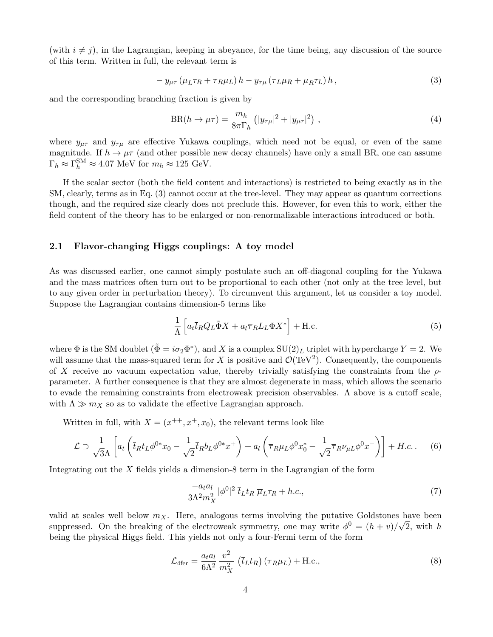(with  $i \neq j$ ), in the Lagrangian, keeping in abeyance, for the time being, any discussion of the source of this term. Written in full, the relevant term is

$$
- y_{\mu\tau} \left( \overline{\mu}_L \tau_R + \overline{\tau}_R \mu_L \right) h - y_{\tau\mu} \left( \overline{\tau}_L \mu_R + \overline{\mu}_R \tau_L \right) h, \tag{3}
$$

and the corresponding branching fraction is given by

$$
BR(h \to \mu \tau) = \frac{m_h}{8\pi \Gamma_h} \left( |y_{\tau\mu}|^2 + |y_{\mu\tau}|^2 \right) , \qquad (4)
$$

where  $y_{\mu\tau}$  and  $y_{\tau\mu}$  are effective Yukawa couplings, which need not be equal, or even of the same magnitude. If  $h \to \mu\tau$  (and other possible new decay channels) have only a small BR, one can assume  $\Gamma_h \approx \Gamma_h^{\text{SM}} \approx 4.07 \text{ MeV for } m_h \approx 125 \text{ GeV}.$ 

If the scalar sector (both the field content and interactions) is restricted to being exactly as in the SM, clearly, terms as in Eq. (3) cannot occur at the tree-level. They may appear as quantum corrections though, and the required size clearly does not preclude this. However, for even this to work, either the field content of the theory has to be enlarged or non-renormalizable interactions introduced or both.

#### 2.1 Flavor-changing Higgs couplings: A toy model

As was discussed earlier, one cannot simply postulate such an off-diagonal coupling for the Yukawa and the mass matrices often turn out to be proportional to each other (not only at the tree level, but to any given order in perturbation theory). To circumvent this argument, let us consider a toy model. Suppose the Lagrangian contains dimension-5 terms like

$$
\frac{1}{\Lambda} \left[ a_t \overline{t}_R Q_L \tilde{\Phi} X + a_l \overline{\tau}_R L_L \Phi X^* \right] + \text{H.c.}
$$
\n<sup>(5)</sup>

where  $\Phi$  is the SM doublet  $(\tilde{\Phi} = i\sigma_2 \Phi^*)$ , and X is a complex  $SU(2)_L$  triplet with hypercharge  $Y = 2$ . We will assume that the mass-squared term for X is positive and  $\mathcal{O}(\text{TeV}^2)$ . Consequently, the components of X receive no vacuum expectation value, thereby trivially satisfying the constraints from the  $\rho$ parameter. A further consequence is that they are almost degenerate in mass, which allows the scenario to evade the remaining constraints from electroweak precision observables. Λ above is a cutoff scale, with  $\Lambda \gg m_X$  so as to validate the effective Lagrangian approach.

Written in full, with  $X = (x^{++}, x^+, x_0)$ , the relevant terms look like

$$
\mathcal{L} \supset \frac{1}{\sqrt{3}\Lambda} \left[ a_t \left( \bar{t}_R t_L \phi^{0*} x_0 - \frac{1}{\sqrt{2}} \bar{t}_R b_L \phi^{0*} x^+ \right) + a_t \left( \bar{\tau}_R \mu_L \phi^0 x_0^* - \frac{1}{\sqrt{2}} \bar{\tau}_R \nu_{\mu L} \phi^0 x^- \right) \right] + H.c. \tag{6}
$$

Integrating out the  $X$  fields yields a dimension-8 term in the Lagrangian of the form

$$
\frac{-a_t a_l}{3\Lambda^2 m_X^2} |\phi^0|^2 \bar{t}_L t_R \, \overline{\mu}_L \tau_R + h.c.,\tag{7}
$$

valid at scales well below  $m_X$ . Here, analogous terms involving the putative Goldstones have been suppressed. On the breaking of the electroweak symmetry, one may write  $\phi^0 = (h + v)/\sqrt{2}$ , with h being the physical Higgs field. This yields not only a four-Fermi term of the form

$$
\mathcal{L}_{4\text{fer}} = \frac{a_t a_l}{6\Lambda^2} \frac{v^2}{m_X^2} \left( \bar{t}_L t_R \right) \left( \overline{\tau}_R \mu_L \right) + \text{H.c.},\tag{8}
$$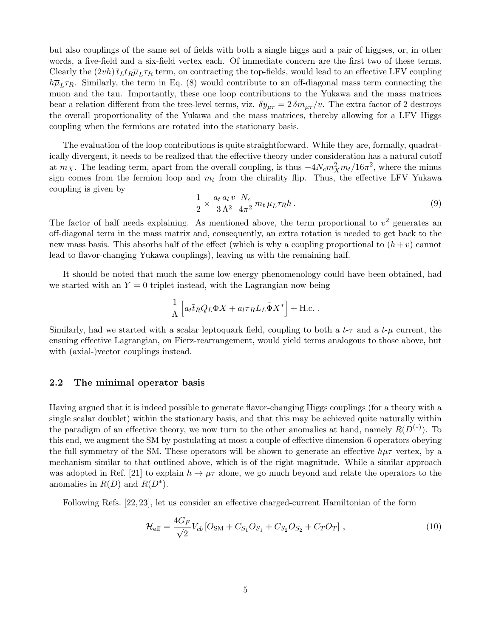but also couplings of the same set of fields with both a single higgs and a pair of higgses, or, in other words, a five-field and a six-field vertex each. Of immediate concern are the first two of these terms. Clearly the  $(2vh)\bar{t}_Lt_R\bar{\mu}_L\tau_R$  term, on contracting the top-fields, would lead to an effective LFV coupling  $h\overline{\mu}_L\tau_R$ . Similarly, the term in Eq. (8) would contribute to an off-diagonal mass term connecting the muon and the tau. Importantly, these one loop contributions to the Yukawa and the mass matrices bear a relation different from the tree-level terms, viz.  $\delta y_{\mu\tau} = 2 \delta m_{\mu\tau}/v$ . The extra factor of 2 destroys the overall proportionality of the Yukawa and the mass matrices, thereby allowing for a LFV Higgs coupling when the fermions are rotated into the stationary basis.

The evaluation of the loop contributions is quite straightforward. While they are, formally, quadratically divergent, it needs to be realized that the effective theory under consideration has a natural cutoff at  $m_X$ . The leading term, apart from the overall coupling, is thus  $-4N_c m_X^2 m_t/16\pi^2$ , where the minus sign comes from the fermion loop and  $m_t$  from the chirality flip. Thus, the effective LFV Yukawa coupling is given by

$$
\frac{1}{2} \times \frac{a_t a_l v}{3 \Lambda^2} \frac{N_c}{4\pi^2} m_t \overline{\mu}_L \tau_R h \,. \tag{9}
$$

The factor of half needs explaining. As mentioned above, the term proportional to  $v^2$  generates an off-diagonal term in the mass matrix and, consequently, an extra rotation is needed to get back to the new mass basis. This absorbs half of the effect (which is why a coupling proportional to  $(h + v)$  cannot lead to flavor-changing Yukawa couplings), leaving us with the remaining half.

It should be noted that much the same low-energy phenomenology could have been obtained, had we started with an  $Y = 0$  triplet instead, with the Lagrangian now being

$$
\frac{1}{\Lambda} \left[ a_t \overline{t}_R Q_L \Phi X + a_l \overline{\tau}_R L_L \tilde{\Phi} X^* \right] + \text{H.c.} .
$$

Similarly, had we started with a scalar leptoquark field, coupling to both a  $t-\tau$  and a  $t-\mu$  current, the ensuing effective Lagrangian, on Fierz-rearrangement, would yield terms analogous to those above, but with (axial-)vector couplings instead.

#### 2.2 The minimal operator basis

Having argued that it is indeed possible to generate flavor-changing Higgs couplings (for a theory with a single scalar doublet) within the stationary basis, and that this may be achieved quite naturally within the paradigm of an effective theory, we now turn to the other anomalies at hand, namely  $R(D^{(*)})$ . To this end, we augment the SM by postulating at most a couple of effective dimension-6 operators obeying the full symmetry of the SM. These operators will be shown to generate an effective  $h\mu\tau$  vertex, by a mechanism similar to that outlined above, which is of the right magnitude. While a similar approach was adopted in Ref. [21] to explain  $h \to \mu\tau$  alone, we go much beyond and relate the operators to the anomalies in  $R(D)$  and  $R(D^*)$ .

Following Refs. [22, 23], let us consider an effective charged-current Hamiltonian of the form

$$
\mathcal{H}_{\text{eff}} = \frac{4G_F}{\sqrt{2}} V_{cb} \left[ O_{\text{SM}} + C_{S_1} O_{S_1} + C_{S_2} O_{S_2} + C_T O_T \right],\tag{10}
$$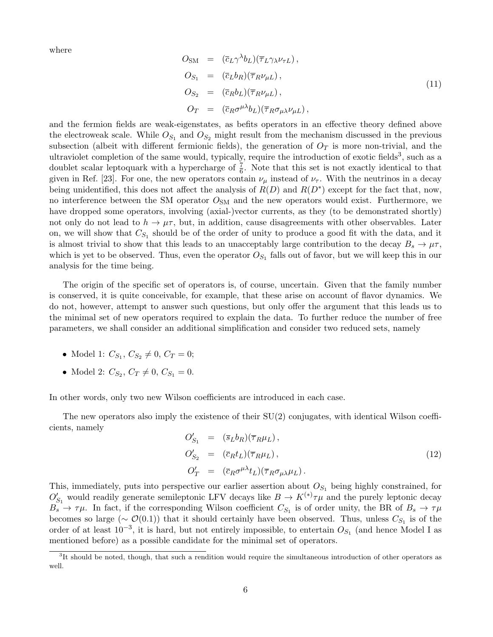where

$$
O_{SM} = (\bar{c}_L \gamma^{\lambda} b_L)(\bar{\tau}_L \gamma_{\lambda} \nu_{\tau L}),
$$
  
\n
$$
O_{S_1} = (\bar{c}_L b_R)(\bar{\tau}_R \nu_{\mu L}),
$$
  
\n
$$
O_{S_2} = (\bar{c}_R b_L)(\bar{\tau}_R \nu_{\mu L}),
$$
  
\n
$$
O_T = (\bar{c}_R \sigma^{\mu \lambda} b_L)(\bar{\tau}_R \sigma_{\mu \lambda} \nu_{\mu L}),
$$
\n
$$
(11)
$$

and the fermion fields are weak-eigenstates, as befits operators in an effective theory defined above the electroweak scale. While  $O_{S_1}$  and  $O_{S_2}$  might result from the mechanism discussed in the previous subsection (albeit with different fermionic fields), the generation of  $O_T$  is more non-trivial, and the ultraviolet completion of the same would, typically, require the introduction of exotic fields<sup>3</sup>, such as a doublet scalar leptoquark with a hypercharge of  $\frac{7}{6}$ . Note that this set is not exactly identical to that given in Ref. [23]. For one, the new operators contain  $\nu_{\mu}$  instead of  $\nu_{\tau}$ . With the neutrinos in a decay being unidentified, this does not affect the analysis of  $R(D)$  and  $R(D^*)$  except for the fact that, now, no interference between the SM operator  $O_{SM}$  and the new operators would exist. Furthermore, we have dropped some operators, involving (axial-)vector currents, as they (to be demonstrated shortly) not only do not lead to  $h \to \mu\tau$ , but, in addition, cause disagreements with other observables. Later on, we will show that  $C_{S_1}$  should be of the order of unity to produce a good fit with the data, and it is almost trivial to show that this leads to an unacceptably large contribution to the decay  $B_s \to \mu \tau$ , which is yet to be observed. Thus, even the operator  $O_{S_1}$  falls out of favor, but we will keep this in our analysis for the time being.

The origin of the specific set of operators is, of course, uncertain. Given that the family number is conserved, it is quite conceivable, for example, that these arise on account of flavor dynamics. We do not, however, attempt to answer such questions, but only offer the argument that this leads us to the minimal set of new operators required to explain the data. To further reduce the number of free parameters, we shall consider an additional simplification and consider two reduced sets, namely

- Model 1:  $C_{S_1}, C_{S_2} \neq 0, C_T = 0;$
- Model 2:  $C_{S_2}, C_T \neq 0, C_{S_1} = 0.$

In other words, only two new Wilson coefficients are introduced in each case.

The new operators also imply the existence of their  $SU(2)$  conjugates, with identical Wilson coefficients, namely

$$
O'_{S_1} = (\bar{s}_L b_R)(\bar{\tau}_R \mu_L),
$$
  
\n
$$
O'_{S_2} = (\bar{c}_R t_L)(\bar{\tau}_R \mu_L),
$$
  
\n
$$
O'_{T} = (\bar{c}_R \sigma^{\mu \lambda} t_L)(\bar{\tau}_R \sigma_{\mu \lambda} \mu_L).
$$
\n(12)

This, immediately, puts into perspective our earlier assertion about  $O_{S_1}$  being highly constrained, for  $O'_{S_1}$  would readily generate semileptonic LFV decays like  $B \to K^{(*)}\tau\mu$  and the purely leptonic decay  $B_s \to \tau \mu$ . In fact, if the corresponding Wilson coefficient  $C_{S_1}$  is of order unity, the BR of  $B_s \to \tau \mu$ becomes so large ( $\sim \mathcal{O}(0.1)$ ) that it should certainly have been observed. Thus, unless  $C_{S_1}$  is of the order of at least  $10^{-3}$ , it is hard, but not entirely impossible, to entertain  $O_{S_1}$  (and hence Model I as mentioned before) as a possible candidate for the minimal set of operators.

<sup>&</sup>lt;sup>3</sup>It should be noted, though, that such a rendition would require the simultaneous introduction of other operators as well.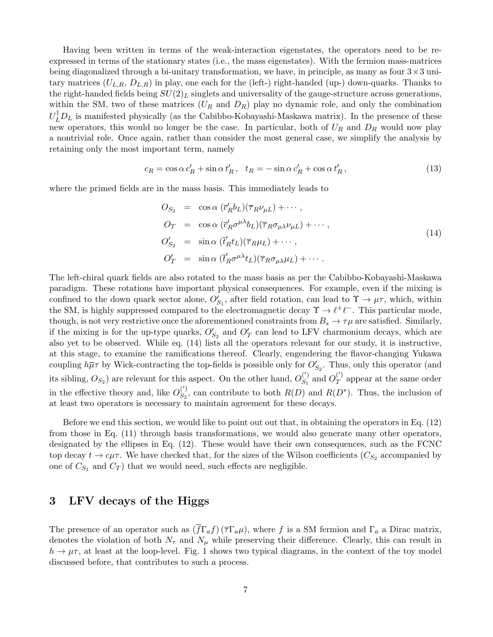Having been written in terms of the weak-interaction eigenstates, the operators need to be reexpressed in terms of the stationary states (i.e., the mass eigenstates). With the fermion mass-matrices being diagonalized through a bi-unitary transformation, we have, in principle, as many as four  $3\times 3$  unitary matrices  $(U_{L,R}, D_{L,R})$  in play, one each for the (left-) right-handed (up-) down-quarks. Thanks to the right-handed fields being  $SU(2)_L$  singlets and universality of the gauge-structure across generations, within the SM, two of these matrices  $(U_R \text{ and } D_R)$  play no dynamic role, and only the combination  $U_L^{\dagger}D_L$  is manifested physically (as the Cabibbo-Kobayashi-Maskawa matrix). In the presence of these new operators, this would no longer be the case. In particular, both of  $U_R$  and  $D_R$  would now play a nontrivial role. Once again, rather than consider the most general case, we simplify the analysis by retaining only the most important term, namely

$$
c_R = \cos \alpha \, c'_R + \sin \alpha \, t'_R, \quad t_R = -\sin \alpha \, c'_R + \cos \alpha \, t'_R,\tag{13}
$$

where the primed fields are in the mass basis. This immediately leads to

$$
O_{S_2} = \cos \alpha \left( \overline{c}'_R b_L \right) \left( \overline{\tau}_R \nu_{\mu L} \right) + \cdots,
$$
  
\n
$$
O_T = \cos \alpha \left( \overline{c}'_R \sigma^{\mu \lambda} b_L \right) \left( \overline{\tau}_R \sigma_{\mu \lambda} \nu_{\mu L} \right) + \cdots,
$$
  
\n
$$
O'_{S_2} = \sin \alpha \left( \overline{t}'_R t_L \right) \left( \overline{\tau}_R \mu_L \right) + \cdots,
$$
  
\n
$$
O'_T = \sin \alpha \left( \overline{t}'_R \sigma^{\mu \lambda} t_L \right) \left( \overline{\tau}_R \sigma_{\mu \lambda} \mu_L \right) + \cdots.
$$
\n(14)

The left-chiral quark fields are also rotated to the mass basis as per the Cabibbo-Kobayashi-Maskawa paradigm. These rotations have important physical consequences. For example, even if the mixing is confined to the down quark sector alone,  $O'_{S_1}$ , after field rotation, can lead to  $\Upsilon \to \mu \tau$ , which, within the SM, is highly suppressed compared to the electromagnetic decay  $\Upsilon \to \ell^+ \ell^-$ . This particular mode, though, is not very restrictive once the aforementioned constraints from  $B_s \to \tau \mu$  are satisfied. Similarly, if the mixing is for the up-type quarks,  $O'_{S_2}$  and  $O'_{T}$  can lead to LFV charmonium decays, which are also yet to be observed. While eq. (14) lists all the operators relevant for our study, it is instructive, at this stage, to examine the ramifications thereof. Clearly, engendering the flavor-changing Yukawa coupling  $h\overline{\mu}\tau$  by Wick-contracting the top-fields is possible only for  $O'_{S_2}$ . Thus, only this operator (and its sibling,  $O_{S_2}$ ) are relevant for this aspect. On the other hand,  $O_{S_1}^{(')}$  $S_1^{(')}$  and  $O_T^{(')}$  $T$  appear at the same order in the effective theory and, like  $O_{S_2}^{(')}$  $S_2^{(1)}$ , can contribute to both  $R(D)$  and  $R(D^*)$ . Thus, the inclusion of at least two operators is necessary to maintain agreement for these decays.

Before we end this section, we would like to point out out that, in obtaining the operators in Eq. (12) from those in Eq. (11) through basis transformations, we would also generate many other operators, designated by the ellipses in Eq. (12). These would have their own consequences, such as the FCNC top decay  $t \to c\mu\tau$ . We have checked that, for the sizes of the Wilson coefficients  $(C_{S_2}$  accompanied by one of  $C_{S_1}$  and  $C_T$ ) that we would need, such effects are negligible.

### 3 LFV decays of the Higgs

The presence of an operator such as  $(\overline{f}\Gamma_a f)(\overline{\tau}\Gamma_a\mu)$ , where f is a SM fermion and  $\Gamma_a$  a Dirac matrix, denotes the violation of both  $N_{\tau}$  and  $N_{\mu}$  while preserving their difference. Clearly, this can result in  $h \to \mu\tau$ , at least at the loop-level. Fig. 1 shows two typical diagrams, in the context of the toy model discussed before, that contributes to such a process.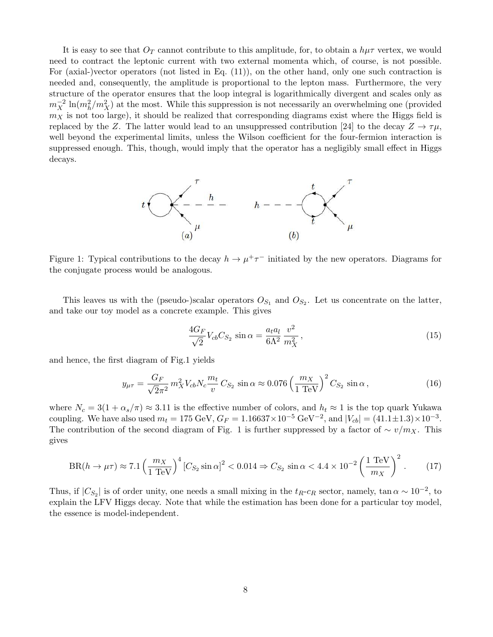It is easy to see that  $O_T$  cannot contribute to this amplitude, for, to obtain a  $h\mu\tau$  vertex, we would need to contract the leptonic current with two external momenta which, of course, is not possible. For (axial-)vector operators (not listed in Eq. (11)), on the other hand, only one such contraction is needed and, consequently, the amplitude is proportional to the lepton mass. Furthermore, the very structure of the operator ensures that the loop integral is logarithmically divergent and scales only as  $m_X^{-2} \ln(m_h^2/m_X^2)$  at the most. While this suppression is not necessarily an overwhelming one (provided  $m<sub>X</sub>$  is not too large), it should be realized that corresponding diagrams exist where the Higgs field is replaced by the Z. The latter would lead to an unsuppressed contribution [24] to the decay  $Z \to \tau \mu$ , well beyond the experimental limits, unless the Wilson coefficient for the four-fermion interaction is suppressed enough. This, though, would imply that the operator has a negligibly small effect in Higgs decays.



Figure 1: Typical contributions to the decay  $h \to \mu^+ \tau^-$  initiated by the new operators. Diagrams for the conjugate process would be analogous.

This leaves us with the (pseudo-)scalar operators  $O_{S_1}$  and  $O_{S_2}$ . Let us concentrate on the latter, and take our toy model as a concrete example. This gives

$$
\frac{4G_F}{\sqrt{2}}V_{cb}C_{S_2}\sin\alpha = \frac{a_t a_l}{6\Lambda^2}\frac{v^2}{m_X^2},\qquad(15)
$$

and hence, the first diagram of Fig.1 yields

$$
y_{\mu\tau} = \frac{G_F}{\sqrt{2}\pi^2} m_X^2 V_{cb} N_c \frac{m_t}{v} C_{S_2} \sin \alpha \approx 0.076 \left(\frac{m_X}{1 \text{ TeV}}\right)^2 C_{S_2} \sin \alpha, \qquad (16)
$$

where  $N_c = 3(1 + \alpha_s/\pi) \approx 3.11$  is the effective number of colors, and  $h_t \approx 1$  is the top quark Yukawa coupling. We have also used  $m_t = 175 \text{ GeV}, G_F = 1.16637 \times 10^{-5} \text{ GeV}^{-2}$ , and  $|V_{cb}| = (41.1 \pm 1.3) \times 10^{-3}$ . The contribution of the second diagram of Fig. 1 is further suppressed by a factor of  $\sim v/m_X$ . This gives

$$
BR(h \to \mu \tau) \approx 7.1 \left(\frac{m_X}{1 \text{ TeV}}\right)^4 \left[C_{S_2} \sin \alpha\right]^2 < 0.014 \Rightarrow C_{S_2} \sin \alpha < 4.4 \times 10^{-2} \left(\frac{1 \text{ TeV}}{m_X}\right)^2. \tag{17}
$$

Thus, if  $|C_{S_2}|$  is of order unity, one needs a small mixing in the  $t_R$ - $c_R$  sector, namely, tan  $\alpha \sim 10^{-2}$ , to explain the LFV Higgs decay. Note that while the estimation has been done for a particular toy model, the essence is model-independent.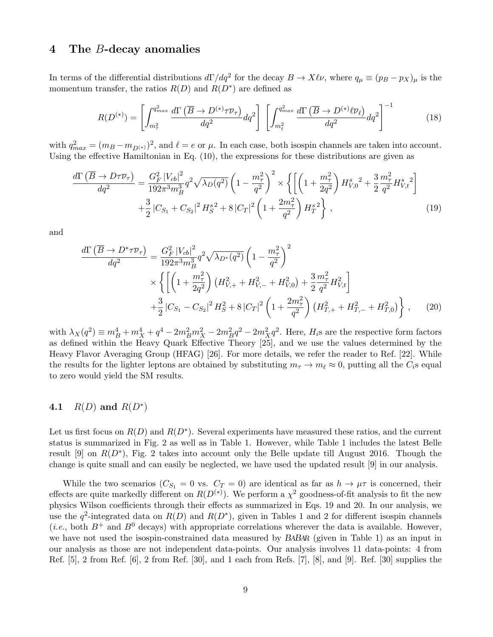#### 4 The B-decay anomalies

In terms of the differential distributions  $d\Gamma/dq^2$  for the decay  $B \to X\ell\nu$ , where  $q_\mu \equiv (p_B - p_X)_\mu$  is the momentum transfer, the ratios  $R(D)$  and  $R(D^*)$  are defined as

$$
R(D^{(*)}) = \left[ \int_{m_{\tau}^2}^{q_{max}^2} \frac{d\Gamma\left(\overline{B} \to D^{(*)}\tau\overline{\nu}_{\tau}\right)}{dq^2} dq^2 \right] \left[ \int_{m_{\ell}^2}^{q_{max}^2} \frac{d\Gamma\left(\overline{B} \to D^{(*)}\ell\overline{\nu}_{\ell}\right)}{dq^2} dq^2 \right]^{-1} \tag{18}
$$

with  $q_{max}^2 = (m_B - m_{D^{(*)}})^2$ , and  $\ell = e$  or  $\mu$ . In each case, both isospin channels are taken into account. Using the effective Hamiltonian in Eq. (10), the expressions for these distributions are given as

$$
\frac{d\Gamma\left(\overline{B}\to D\tau\overline{\nu}_{\tau}\right)}{dq^2} = \frac{G_F^2 |V_{cb}|^2}{192\pi^3 m_B^3} q^2 \sqrt{\lambda_D(q^2)} \left(1 - \frac{m_\tau^2}{q^2}\right)^2 \times \left\{ \left[ \left(1 + \frac{m_\tau^2}{2q^2}\right) H_{V,0}^s{}^2 + \frac{3}{2} \frac{m_\tau^2}{q^2} H_{V,t}^s{}^2 \right] \right. \\ \left. + \frac{3}{2} |C_{S_1} + C_{S_2}|^2 H_S^{s^2} + 8 |C_T|^2 \left(1 + \frac{2m_\tau^2}{q^2}\right) H_T^{s^2} \right\} \,, \tag{19}
$$

and

$$
\frac{d\Gamma\left(\overline{B}\to D^*\tau\overline{\nu}_{\tau}\right)}{dq^2} = \frac{G_F^2 |V_{cb}|^2}{192\pi^3 m_B^3} q^2 \sqrt{\lambda_{D^*}(q^2)} \left(1 - \frac{m_{\tau}^2}{q^2}\right)^2
$$
\n
$$
\times \left\{ \left[ \left(1 + \frac{m_{\tau}^2}{2q^2}\right) \left(H_{V,+}^2 + H_{V,-}^2 + H_{V,0}^2\right) + \frac{3}{2} \frac{m_{\tau}^2}{q^2} H_{V,t}^2 \right] + \frac{3}{2} |C_{S_1} - C_{S_2}|^2 H_S^2 + 8 |C_T|^2 \left(1 + \frac{2m_{\tau}^2}{q^2}\right) \left(H_{T,+}^2 + H_{T,-}^2 + H_{T,0}^2\right) \right\}, \tag{20}
$$

with  $\lambda_X(q^2) \equiv m_B^4 + m_X^4 + q^4 - 2m_B^2m_X^2 - 2m_B^2q^2 - 2m_X^2q^2$ . Here,  $H_i$ s are the respective form factors as defined within the Heavy Quark Effective Theory [25], and we use the values determined by the Heavy Flavor Averaging Group (HFAG) [26]. For more details, we refer the reader to Ref. [22]. While the results for the lighter leptons are obtained by substituting  $m_{\tau} \to m_{\ell} \approx 0$ , putting all the  $C_i$ s equal to zero would yield the SM results.

### 4.1  $R(D)$  and  $R(D^*)$

Let us first focus on  $R(D)$  and  $R(D^*)$ . Several experiments have measured these ratios, and the current status is summarized in Fig. 2 as well as in Table 1. However, while Table 1 includes the latest Belle result [9] on  $R(D^*)$ , Fig. 2 takes into account only the Belle update till August 2016. Though the change is quite small and can easily be neglected, we have used the updated result [9] in our analysis.

While the two scenarios ( $C_{S_1} = 0$  vs.  $C_T = 0$ ) are identical as far as  $h \to \mu \tau$  is concerned, their effects are quite markedly different on  $R(D^{(*)})$ . We perform a  $\chi^2$  goodness-of-fit analysis to fit the new physics Wilson coefficients through their effects as summarized in Eqs. 19 and 20. In our analysis, we use the  $q^2$ -integrated data on  $R(D)$  and  $R(D^*)$ , given in Tables 1 and 2 for different isospin channels (*i.e.*, both  $B^+$  and  $B^0$  decays) with appropriate correlations wherever the data is available. However, we have not used the isospin-constrained data measured by BABAR (given in Table 1) as an input in our analysis as those are not independent data-points. Our analysis involves 11 data-points: 4 from Ref. [5], 2 from Ref. [6], 2 from Ref. [30], and 1 each from Refs. [7], [8], and [9]. Ref. [30] supplies the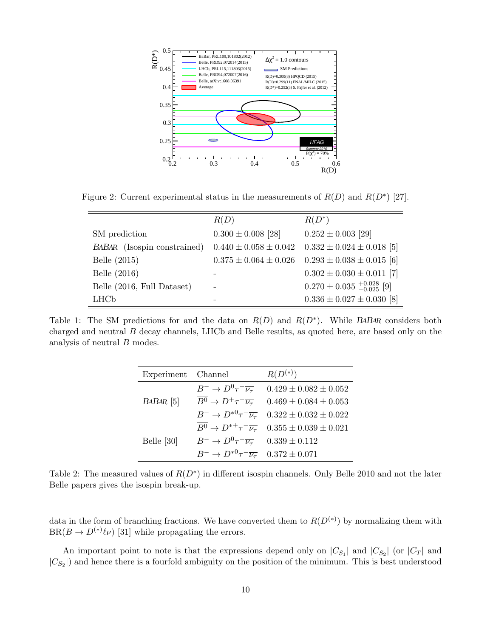

Figure 2: Current experimental status in the measurements of  $R(D)$  and  $R(D^*)$  [27].

|                             | R(D)                        | $R(D^*)$                           |
|-----------------------------|-----------------------------|------------------------------------|
| SM prediction               | $0.300 \pm 0.008$ [28]      | $0.252 \pm 0.003$ [29]             |
| BABAR (Isospin constrained) | $0.440 \pm 0.058 \pm 0.042$ | $0.332 \pm 0.024 \pm 0.018$ [5]    |
| Belle $(2015)$              | $0.375 \pm 0.064 \pm 0.026$ | $0.293 \pm 0.038 \pm 0.015$ [6]    |
| Belle (2016)                |                             | $0.302 \pm 0.030 \pm 0.011$ [7]    |
| Belle (2016, Full Dataset)  |                             | $0.270 \pm 0.035 \pm 0.028 \,$ [9] |
| <b>LHC<sub>b</sub></b>      |                             | $0.336 \pm 0.027 \pm 0.030$ [8]    |

Table 1: The SM predictions for and the data on  $R(D)$  and  $R(D^*)$ . While BABAR considers both charged and neutral B decay channels, LHCb and Belle results, as quoted here, are based only on the analysis of neutral B modes.

| Experiment Channel |                                                             | $R(D^{(*)})$                                                                         |
|--------------------|-------------------------------------------------------------|--------------------------------------------------------------------------------------|
|                    |                                                             | $B^- \to D^0 \tau^- \overline{\nu_\tau}$ 0.429 ± 0.082 ± 0.052                       |
| $BABAR$ [5]        |                                                             | $B^0 \to D^+\tau^-\overline{\nu_\tau}$ 0.469 ± 0.084 ± 0.053                         |
|                    |                                                             | $B^ \rightarrow D^{*0}\tau^-\overline{\nu_{\tau}}$ 0.322 $\pm$ 0.032 $\pm$ 0.022     |
|                    |                                                             | $\overline{B^0} \rightarrow D^{*+} \tau^- \overline{\nu_\tau}$ 0.355 ± 0.039 ± 0.021 |
| Belle [30]         | $B^- \to D^0 \tau^- \overline{\nu_{\tau}}$ 0.339 ± 0.112    |                                                                                      |
|                    | $B^- \to D^{*0} \tau^- \overline{\nu_{\tau}}$ 0.372 ± 0.071 |                                                                                      |

Table 2: The measured values of  $R(D^*)$  in different isospin channels. Only Belle 2010 and not the later Belle papers gives the isospin break-up.

data in the form of branching fractions. We have converted them to  $R(D<sup>(*)</sup>)$  by normalizing them with  $BR(B \to D^{(*)} \ell \nu)$  [31] while propagating the errors.

An important point to note is that the expressions depend only on  $|C_{S_1}|$  and  $|C_{S_2}|$  (or  $|C_T|$  and  $|C_{S_2}|$  and hence there is a fourfold ambiguity on the position of the minimum. This is best understood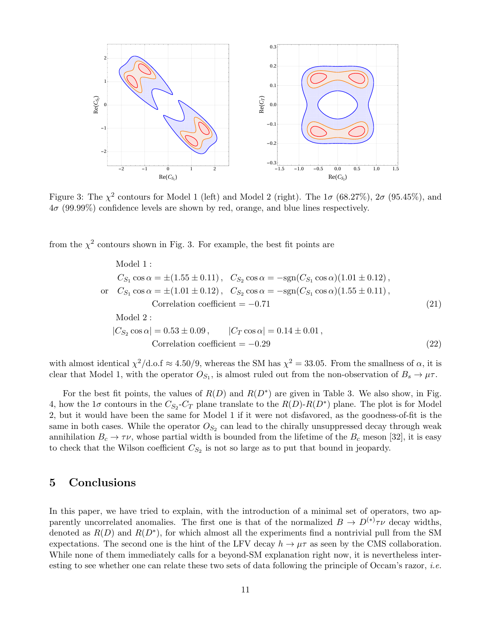

Figure 3: The  $\chi^2$  contours for Model 1 (left) and Model 2 (right). The  $1\sigma$  (68.27%),  $2\sigma$  (95.45%), and  $4\sigma$  (99.99%) confidence levels are shown by red, orange, and blue lines respectively.

from the  $\chi^2$  contours shown in Fig. 3. For example, the best fit points are

Model 1 :  
\n
$$
C_{S_1} \cos \alpha = \pm (1.55 \pm 0.11), \quad C_{S_2} \cos \alpha = -\text{sgn}(C_{S_1} \cos \alpha)(1.01 \pm 0.12),
$$
\nor  $C_{S_1} \cos \alpha = \pm (1.01 \pm 0.12), \quad C_{S_2} \cos \alpha = -\text{sgn}(C_{S_1} \cos \alpha)(1.55 \pm 0.11),$   
\nCorrelation coefficient = -0.71 (21)  
\nModel 2 :  
\n
$$
|C_{S_2} \cos \alpha| = 0.53 \pm 0.09, \quad |C_T \cos \alpha| = 0.14 \pm 0.01,
$$
  
\nCorrelation coefficient = -0.29 (22)

with almost identical  $\chi^2/\text{d.o.f} \approx 4.50/9$ , whereas the SM has  $\chi^2 = 33.05$ . From the smallness of  $\alpha$ , it is clear that Model 1, with the operator  $O_{S_1}$ , is almost ruled out from the non-observation of  $B_s \to \mu\tau$ .

For the best fit points, the values of  $R(D)$  and  $R(D^*)$  are given in Table 3. We also show, in Fig. 4, how the  $1\sigma$  contours in the  $C_{S_2}$ - $C_T$  plane translate to the  $R(D)$ - $R(D^*)$  plane. The plot is for Model 2, but it would have been the same for Model 1 if it were not disfavored, as the goodness-of-fit is the same in both cases. While the operator  $O_{S_2}$  can lead to the chirally unsuppressed decay through weak annihilation  $B_c \to \tau \nu$ , whose partial width is bounded from the lifetime of the  $B_c$  meson [32], it is easy to check that the Wilson coefficient  $C_{S_2}$  is not so large as to put that bound in jeopardy.

#### 5 Conclusions

In this paper, we have tried to explain, with the introduction of a minimal set of operators, two apparently uncorrelated anomalies. The first one is that of the normalized  $B \to D^{(*)}\tau\nu$  decay widths, denoted as  $R(D)$  and  $R(D^*)$ , for which almost all the experiments find a nontrivial pull from the SM expectations. The second one is the hint of the LFV decay  $h \to \mu\tau$  as seen by the CMS collaboration. While none of them immediately calls for a beyond-SM explanation right now, it is nevertheless interesting to see whether one can relate these two sets of data following the principle of Occam's razor, *i.e.*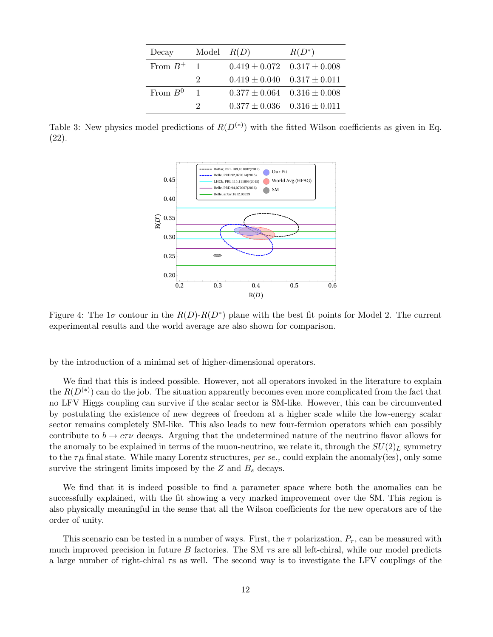| Decay        | Model $R(D)$                |                                     | $R(D^*)$ |
|--------------|-----------------------------|-------------------------------------|----------|
| From $B^+$ 1 |                             | $0.419 \pm 0.072$ $0.317 \pm 0.008$ |          |
|              | $\mathcal{D}_{\mathcal{L}}$ | $0.419 \pm 0.040$ $0.317 \pm 0.011$ |          |
| From $B^0$   | $\overline{1}$              | $0.377 \pm 0.064$ $0.316 \pm 0.008$ |          |
|              | $\mathcal{D}$               | $0.377 \pm 0.036$ $0.316 \pm 0.011$ |          |

Table 3: New physics model predictions of  $R(D^{(*)})$  with the fitted Wilson coefficients as given in Eq. (22).



Figure 4: The  $1\sigma$  contour in the  $R(D)$ - $R(D^*)$  plane with the best fit points for Model 2. The current experimental results and the world average are also shown for comparison.

by the introduction of a minimal set of higher-dimensional operators.

We find that this is indeed possible. However, not all operators invoked in the literature to explain the  $R(D<sup>(*)</sup>)$  can do the job. The situation apparently becomes even more complicated from the fact that no LFV Higgs coupling can survive if the scalar sector is SM-like. However, this can be circumvented by postulating the existence of new degrees of freedom at a higher scale while the low-energy scalar sector remains completely SM-like. This also leads to new four-fermion operators which can possibly contribute to  $b \to c\tau\nu$  decays. Arguing that the undetermined nature of the neutrino flavor allows for the anomaly to be explained in terms of the muon-neutrino, we relate it, through the  $SU(2)_L$  symmetry to the  $\tau\mu$  final state. While many Lorentz structures, per se., could explain the anomaly(ies), only some survive the stringent limits imposed by the  $Z$  and  $B<sub>s</sub>$  decays.

We find that it is indeed possible to find a parameter space where both the anomalies can be successfully explained, with the fit showing a very marked improvement over the SM. This region is also physically meaningful in the sense that all the Wilson coefficients for the new operators are of the order of unity.

This scenario can be tested in a number of ways. First, the  $\tau$  polarization,  $P_{\tau}$ , can be measured with much improved precision in future B factories. The SM  $\tau s$  are all left-chiral, while our model predicts a large number of right-chiral  $\tau s$  as well. The second way is to investigate the LFV couplings of the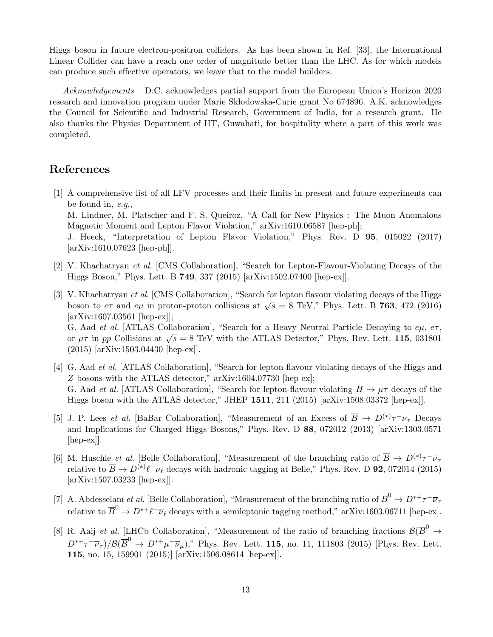Higgs boson in future electron-positron colliders. As has been shown in Ref. [33], the International Linear Collider can have a reach one order of magnitude better than the LHC. As for which models can produce such effective operators, we leave that to the model builders.

Acknowledgements – D.C. acknowledges partial support from the European Union's Horizon 2020 research and innovation program under Marie Skłodowska-Curie grant No 674896. A.K. acknowledges the Council for Scientific and Industrial Research, Government of India, for a research grant. He also thanks the Physics Department of IIT, Guwahati, for hospitality where a part of this work was completed.

#### References

[arXiv:1610.07623 [hep-ph]].

- [1] A comprehensive list of all LFV processes and their limits in present and future experiments can be found in, e.g., M. Lindner, M. Platscher and F. S. Queiroz, "A Call for New Physics : The Muon Anomalous Magnetic Moment and Lepton Flavor Violation," arXiv:1610.06587 [hep-ph]; J. Heeck, "Interpretation of Lepton Flavor Violation," Phys. Rev. D 95, 015022 (2017)
- [2] V. Khachatryan et al. [CMS Collaboration], "Search for Lepton-Flavour-Violating Decays of the Higgs Boson," Phys. Lett. B 749, 337 (2015) [arXiv:1502.07400 [hep-ex]].
- [3] V. Khachatryan et al. [CMS Collaboration], "Search for lepton flavour violating decays of the Higgs boson to  $e\tau$  and  $e\mu$  in proton-proton collisions at  $\sqrt{s} = 8$  TeV," Phys. Lett. B 763, 472 (2016) [arXiv:1607.03561 [hep-ex]]; G. Aad *et al.* [ATLAS Collaboration], "Search for a Heavy Neutral Particle Decaying to  $e\mu$ ,  $e\tau$ , or  $\mu\tau$  in pp Collisions at  $\sqrt{s} = 8$  TeV with the ATLAS Detector," Phys. Rev. Lett. 115, 031801 (2015) [arXiv:1503.04430 [hep-ex]].
- [4] G. Aad et al. [ATLAS Collaboration], "Search for lepton-flavour-violating decays of the Higgs and Z bosons with the ATLAS detector," arXiv:1604.07730 [hep-ex]; G. Aad *et al.* [ATLAS Collaboration], "Search for lepton-flavour-violating  $H \to \mu\tau$  decays of the Higgs boson with the ATLAS detector," JHEP 1511, 211 (2015) [arXiv:1508.03372 [hep-ex]].
- [5] J. P. Lees *et al.* [BaBar Collaboration], "Measurement of an Excess of  $\overline{B} \to D^{(*)}\tau^-\overline{\nu}_{\tau}$  Decays and Implications for Charged Higgs Bosons," Phys. Rev. D 88, 072012 (2013) [arXiv:1303.0571 [hep-ex]].
- [6] M. Huschle *et al.* [Belle Collaboration], "Measurement of the branching ratio of  $\overline{B} \to D^{(*)}\tau^-\overline{\nu}_{\tau}$ relative to  $\overline{B} \to D^{(*)}\ell^-\overline{\nu}_\ell$  decays with hadronic tagging at Belle," Phys. Rev. D **92**, 072014 (2015) [arXiv:1507.03233 [hep-ex]].
- [7] A. Abdesselam *et al.* [Belle Collaboration], "Measurement of the branching ratio of  $\overline{B}^0 \to D^{*+}\tau^-\overline{\nu}_{\tau}$ relative to  $\overline{B}^0 \to D^{*+} \ell^- \overline{\nu}_{\ell}$  decays with a semileptonic tagging method," arXiv:1603.06711 [hep-ex].
- [8] R. Aaij et al. [LHCb Collaboration], "Measurement of the ratio of branching fractions  $\mathcal{B}(\overline{B}^0 \to$  $D^{*+}\tau^-\overline{\nu}_\tau)/\mathcal{B}(\overline{B}^0\to D^{*+}\mu^-\overline{\nu}_\mu)$ ," Phys. Rev. Lett. 115, no. 11, 111803 (2015) [Phys. Rev. Lett. 115, no. 15, 159901 (2015)] [arXiv:1506.08614 [hep-ex]].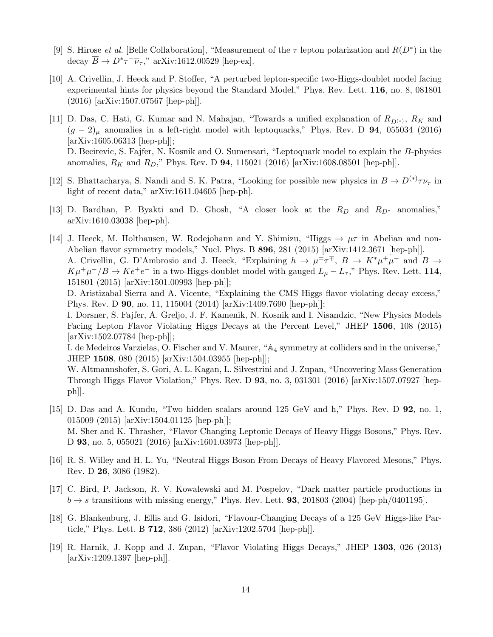- [9] S. Hirose *et al.* [Belle Collaboration], "Measurement of the  $\tau$  lepton polarization and  $R(D^*)$  in the decay  $\overline{B} \to D^* \tau^- \overline{\nu}_{\tau}$ ," arXiv:1612.00529 [hep-ex].
- [10] A. Crivellin, J. Heeck and P. Stoffer, "A perturbed lepton-specific two-Higgs-doublet model facing experimental hints for physics beyond the Standard Model," Phys. Rev. Lett. 116, no. 8, 081801 (2016) [arXiv:1507.07567 [hep-ph]].
- [11] D. Das, C. Hati, G. Kumar and N. Mahajan, "Towards a unified explanation of  $R_{D(*)}$ ,  $R_K$  and  $(g - 2)$ <sub>u</sub> anomalies in a left-right model with leptoquarks," Phys. Rev. D 94, 055034 (2016) [arXiv:1605.06313 [hep-ph]]; D. Becirevic, S. Fajfer, N. Kosnik and O. Sumensari, "Leptoquark model to explain the B-physics anomalies,  $R_K$  and  $R_D$ ," Phys. Rev. D 94, 115021 (2016) [arXiv:1608.08501 [hep-ph]].
- [12] S. Bhattacharya, S. Nandi and S. K. Patra, "Looking for possible new physics in  $B \to D^{(*)}\tau\nu_{\tau}$  in light of recent data," arXiv:1611.04605 [hep-ph].
- [13] D. Bardhan, P. Byakti and D. Ghosh, "A closer look at the  $R_D$  and  $R_{D*}$  anomalies," arXiv:1610.03038 [hep-ph].
- [14] J. Heeck, M. Holthausen, W. Rodejohann and Y. Shimizu, "Higgs  $\rightarrow \mu\tau$  in Abelian and non-Abelian flavor symmetry models," Nucl. Phys. B 896, 281 (2015) [arXiv:1412.3671 [hep-ph]]. A. Crivellin, G. D'Ambrosio and J. Heeck, "Explaining  $h \to \mu^{\pm} \tau^{\mp}$ ,  $B \to K^* \mu^+ \mu^-$  and  $B \to$  $K\mu^+\mu^-/B\to Ke^+e^-$  in a two-Higgs-doublet model with gauged  $L_\mu-L_\tau$ ," Phys. Rev. Lett. 114, 151801 (2015) [arXiv:1501.00993 [hep-ph]];

D. Aristizabal Sierra and A. Vicente, "Explaining the CMS Higgs flavor violating decay excess," Phys. Rev. D 90, no. 11, 115004 (2014) [arXiv:1409.7690 [hep-ph]];

I. Dorsner, S. Fajfer, A. Greljo, J. F. Kamenik, N. Kosnik and I. Nisandzic, "New Physics Models Facing Lepton Flavor Violating Higgs Decays at the Percent Level," JHEP 1506, 108 (2015) [arXiv:1502.07784 [hep-ph]];

I. de Medeiros Varzielas, O. Fischer and V. Maurer, "A<sup>4</sup> symmetry at colliders and in the universe," JHEP 1508, 080 (2015) [arXiv:1504.03955 [hep-ph]];

W. Altmannshofer, S. Gori, A. L. Kagan, L. Silvestrini and J. Zupan, "Uncovering Mass Generation Through Higgs Flavor Violation," Phys. Rev. D 93, no. 3, 031301 (2016) [arXiv:1507.07927 [hepph]].

- [15] D. Das and A. Kundu, "Two hidden scalars around 125 GeV and h," Phys. Rev. D 92, no. 1, 015009 (2015) [arXiv:1504.01125 [hep-ph]]; M. Sher and K. Thrasher, "Flavor Changing Leptonic Decays of Heavy Higgs Bosons," Phys. Rev. D 93, no. 5, 055021 (2016) [arXiv:1601.03973 [hep-ph]].
- [16] R. S. Willey and H. L. Yu, "Neutral Higgs Boson From Decays of Heavy Flavored Mesons," Phys. Rev. D 26, 3086 (1982).
- [17] C. Bird, P. Jackson, R. V. Kowalewski and M. Pospelov, "Dark matter particle productions in  $b \rightarrow s$  transitions with missing energy," Phys. Rev. Lett. **93**, 201803 (2004) [hep-ph/0401195].
- [18] G. Blankenburg, J. Ellis and G. Isidori, "Flavour-Changing Decays of a 125 GeV Higgs-like Particle," Phys. Lett. B 712, 386 (2012) [arXiv:1202.5704 [hep-ph]].
- [19] R. Harnik, J. Kopp and J. Zupan, "Flavor Violating Higgs Decays," JHEP 1303, 026 (2013) [arXiv:1209.1397 [hep-ph]].